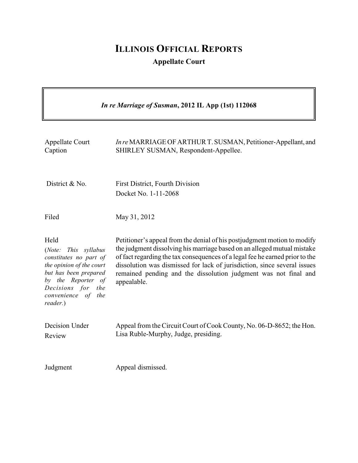## **ILLINOIS OFFICIAL REPORTS**

**Appellate Court**

| In re Marriage of Susman, 2012 IL App (1st) 112068                                                                                                                                          |                                                                                                                                                                                                                                                                                                                                                                                                   |  |
|---------------------------------------------------------------------------------------------------------------------------------------------------------------------------------------------|---------------------------------------------------------------------------------------------------------------------------------------------------------------------------------------------------------------------------------------------------------------------------------------------------------------------------------------------------------------------------------------------------|--|
| Appellate Court<br>Caption                                                                                                                                                                  | In re MARRIAGE OF ARTHUR T. SUSMAN, Petitioner-Appellant, and<br>SHIRLEY SUSMAN, Respondent-Appellee.                                                                                                                                                                                                                                                                                             |  |
| District & No.                                                                                                                                                                              | First District, Fourth Division<br>Docket No. 1-11-2068                                                                                                                                                                                                                                                                                                                                           |  |
| Filed                                                                                                                                                                                       | May 31, 2012                                                                                                                                                                                                                                                                                                                                                                                      |  |
| Held<br>(Note:<br>This syllabus<br>constitutes no part of<br>the opinion of the court<br>but has been prepared<br>by the Reporter of<br>Decisions for the<br>convenience of the<br>reader.) | Petitioner's appeal from the denial of his postjudgment motion to modify<br>the judgment dissolving his marriage based on an alleged mutual mistake<br>of fact regarding the tax consequences of a legal fee he earned prior to the<br>dissolution was dismissed for lack of jurisdiction, since several issues<br>remained pending and the dissolution judgment was not final and<br>appealable. |  |
| Decision Under<br>Review                                                                                                                                                                    | Appeal from the Circuit Court of Cook County, No. 06-D-8652; the Hon.<br>Lisa Ruble-Murphy, Judge, presiding.                                                                                                                                                                                                                                                                                     |  |
| Judgment                                                                                                                                                                                    | Appeal dismissed.                                                                                                                                                                                                                                                                                                                                                                                 |  |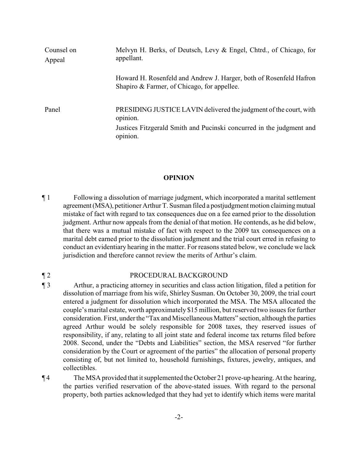| Counsel on<br>Appeal | Melvyn H. Berks, of Deutsch, Levy & Engel, Chtrd., of Chicago, for<br>appellant.                                  |
|----------------------|-------------------------------------------------------------------------------------------------------------------|
|                      | Howard H. Rosenfeld and Andrew J. Harger, both of Rosenfeld Hafron<br>Shapiro & Farmer, of Chicago, for appellee. |
| Panel                | PRESIDING JUSTICE LAVIN delivered the judgment of the court, with<br>opinion.                                     |
|                      | Justices Fitzgerald Smith and Pucinski concurred in the judgment and<br>opinion.                                  |

## **OPINION**

¶ 1 Following a dissolution of marriage judgment, which incorporated a marital settlement agreement (MSA), petitioner Arthur T. Susman filed a postjudgment motion claiming mutual mistake of fact with regard to tax consequences due on a fee earned prior to the dissolution judgment. Arthur now appeals from the denial of that motion. He contends, as he did below, that there was a mutual mistake of fact with respect to the 2009 tax consequences on a marital debt earned prior to the dissolution judgment and the trial court erred in refusing to conduct an evidentiary hearing in the matter. For reasons stated below, we conclude we lack jurisdiction and therefore cannot review the merits of Arthur's claim.

## ¶ 2 PROCEDURAL BACKGROUND

¶ 3 Arthur, a practicing attorney in securities and class action litigation, filed a petition for dissolution of marriage from his wife, Shirley Susman. On October 30, 2009, the trial court entered a judgment for dissolution which incorporated the MSA. The MSA allocated the couple's marital estate, worth approximately \$15 million, but reserved two issues for further consideration. First, under the "Tax and Miscellaneous Matters" section, although the parties agreed Arthur would be solely responsible for 2008 taxes, they reserved issues of responsibility, if any, relating to all joint state and federal income tax returns filed before 2008. Second, under the "Debts and Liabilities" section, the MSA reserved "for further consideration by the Court or agreement of the parties" the allocation of personal property consisting of, but not limited to, household furnishings, fixtures, jewelry, antiques, and collectibles.

¶ 4 The MSA provided that it supplemented the October 21 prove-up hearing. At the hearing, the parties verified reservation of the above-stated issues. With regard to the personal property, both parties acknowledged that they had yet to identify which items were marital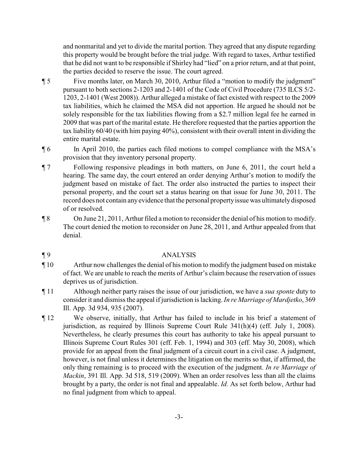and nonmarital and yet to divide the marital portion. They agreed that any dispute regarding this property would be brought before the trial judge. With regard to taxes, Arthur testified that he did not want to be responsible if Shirley had "lied" on a prior return, and at that point, the parties decided to reserve the issue. The court agreed.

- ¶ 5 Five months later, on March 30, 2010, Arthur filed a "motion to modify the judgment" pursuant to both sections 2-1203 and 2-1401 of the Code of Civil Procedure (735 ILCS 5/2- 1203, 2-1401 (West 2008)). Arthur alleged a mistake of fact existed with respect to the 2009 tax liabilities, which he claimed the MSA did not apportion. He argued he should not be solely responsible for the tax liabilities flowing from a \$2.7 million legal fee he earned in 2009 that was part of the marital estate. He therefore requested that the parties apportion the tax liability 60/40 (with him paying 40%), consistent with their overall intent in dividing the entire marital estate.
- ¶ 6 In April 2010, the parties each filed motions to compel compliance with the MSA's provision that they inventory personal property.
- ¶ 7 Following responsive pleadings in both matters, on June 6, 2011, the court held a hearing. The same day, the court entered an order denying Arthur's motion to modify the judgment based on mistake of fact. The order also instructed the parties to inspect their personal property, and the court set a status hearing on that issue for June 30, 2011. The record does not contain anyevidence that the personal propertyissuewas ultimatelydisposed of or resolved.
- ¶ 8 On June 21, 2011, Arthur filed a motion to reconsider the denial of his motion to modify. The court denied the motion to reconsider on June 28, 2011, and Arthur appealed from that denial.

## ¶ 9 ANALYSIS

- ¶ 10 Arthur now challenges the denial of his motion to modify the judgment based on mistake of fact. We are unable to reach the merits of Arthur's claim because the reservation of issues deprives us of jurisdiction.
- ¶ 11 Although neither party raises the issue of our jurisdiction, we have a *sua sponte* duty to consider it and dismissthe appeal if jurisdiction is lacking. *In re Marriage of Mardjetko*, 369 Ill. App. 3d 934, 935 (2007).
- ¶ 12 We observe, initially, that Arthur has failed to include in his brief a statement of jurisdiction, as required by Illinois Supreme Court Rule 341(h)(4) (eff. July 1, 2008). Nevertheless, he clearly presumes this court has authority to take his appeal pursuant to Illinois Supreme Court Rules 301 (eff. Feb. 1, 1994) and 303 (eff. May 30, 2008), which provide for an appeal from the final judgment of a circuit court in a civil case. A judgment, however, is not final unless it determines the litigation on the merits so that, if affirmed, the only thing remaining is to proceed with the execution of the judgment. *In re Marriage of Mackin*, 391 Ill. App. 3d 518, 519 (2009). When an order resolves less than all the claims brought by a party, the order is not final and appealable. *Id.* As set forth below, Arthur had no final judgment from which to appeal.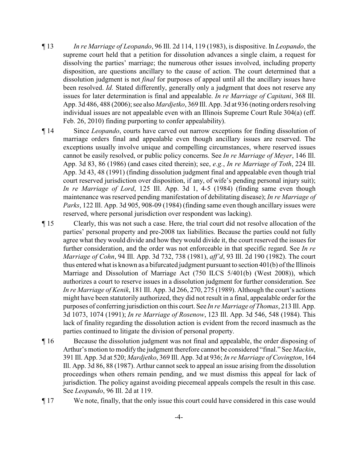- ¶ 13 *In re Marriage of Leopando*, 96 Ill. 2d 114, 119 (1983), is dispositive. In *Leopando*, the supreme court held that a petition for dissolution advances a single claim, a request for dissolving the parties' marriage; the numerous other issues involved, including property disposition, are questions ancillary to the cause of action. The court determined that a dissolution judgment is not *final* for purposes of appeal until all the ancillary issues have been resolved. *Id.* Stated differently, generally only a judgment that does not reserve any issues for later determination is final and appealable. *In re Marriage of Capitani*, 368 Ill. App. 3d 486, 488 (2006); see also *Mardjetko*, 369 Ill. App. 3d at 936 (noting orders resolving individual issues are not appealable even with an Illinois Supreme Court Rule 304(a) (eff. Feb. 26, 2010) finding purporting to confer appealability).
- ¶ 14 Since *Leopando*, courts have carved out narrow exceptions for finding dissolution of marriage orders final and appealable even though ancillary issues are reserved. The exceptions usually involve unique and compelling circumstances, where reserved issues cannot be easily resolved, or public policy concerns. See *In re Marriage of Meyer*, 146 Ill. App. 3d 83, 86 (1986) (and cases cited therein); see, *e.g.*, *In re Marriage of Toth*, 224 Ill. App. 3d 43, 48 (1991) (finding dissolution judgment final and appealable even though trial court reserved jurisdiction over disposition, if any, of wife's pending personal injury suit); *In re Marriage of Lord*, 125 Ill. App. 3d 1, 4-5 (1984) (finding same even though maintenance was reserved pending manifestation of debilitating disease); *In re Marriage of Parks*, 122 Ill. App. 3d 905, 908-09 (1984) (finding same even though ancillary issues were reserved, where personal jurisdiction over respondent was lacking).
- ¶ 15 Clearly, this was not such a case. Here, the trial court did not resolve allocation of the parties' personal property and pre-2008 tax liabilities. Because the parties could not fully agree what they would divide and how they would divide it, the court reserved the issues for further consideration, and the order was not enforceable in that specific regard. See *In re Marriage of Cohn*, 94 Ill. App. 3d 732, 738 (1981), *aff'd*, 93 Ill. 2d 190 (1982). The court thus entered what is known as a bifurcated judgment pursuant to section 401(b) of the Illinois Marriage and Dissolution of Marriage Act (750 ILCS 5/401(b) (West 2008)), which authorizes a court to reserve issues in a dissolution judgment for further consideration. See *In re Marriage of Kenik*, 181 Ill. App. 3d 266, 270, 275 (1989). Although the court's actions might have been statutorily authorized, they did not result in a final, appealable order for the purposes of conferring jurisdiction on this court. See *In re Marriage of Thomas*, 213 Ill. App. 3d 1073, 1074 (1991); *In re Marriage of Rosenow*, 123 Ill. App. 3d 546, 548 (1984). This lack of finality regarding the dissolution action is evident from the record inasmuch as the parties continued to litigate the division of personal property.
- ¶ 16 Because the dissolution judgment was not final and appealable, the order disposing of Arthur's motion to modify the judgment therefore cannot be considered "final." See *Mackin*, 391 Ill. App. 3d at 520; *Mardjetko*, 369 Ill. App. 3d at 936; *In re Marriage of Covington*, 164 Ill. App. 3d 86, 88 (1987). Arthur cannot seek to appeal an issue arising from the dissolution proceedings when others remain pending, and we must dismiss this appeal for lack of jurisdiction. The policy against avoiding piecemeal appeals compels the result in this case. See *Leopando*, 96 Ill. 2d at 119.
- ¶ 17 We note, finally, that the only issue this court could have considered in this case would